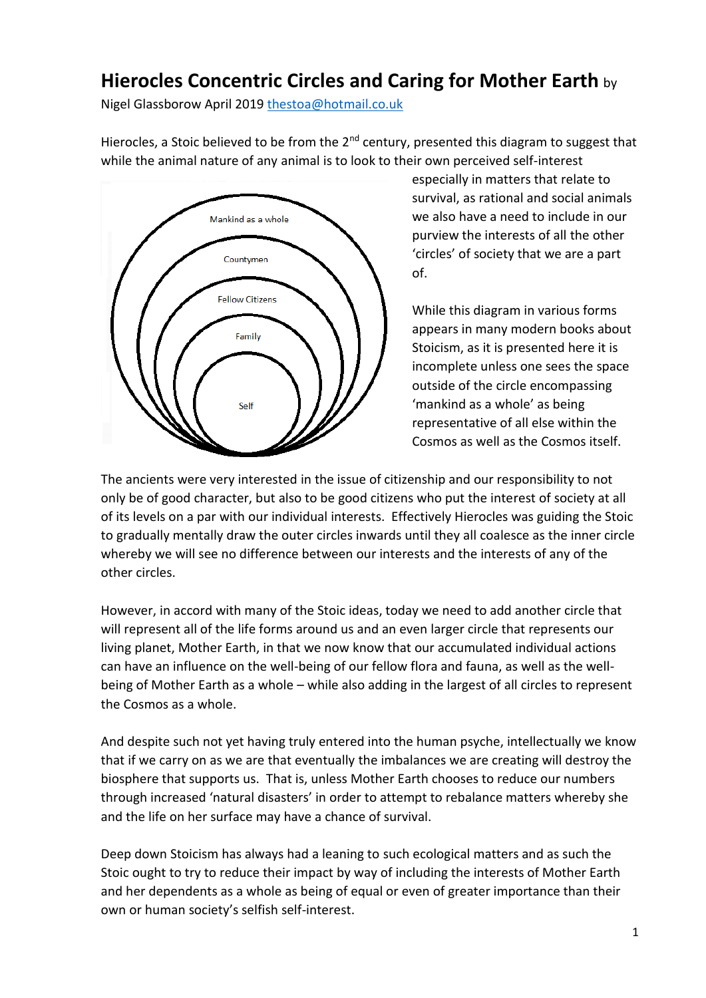## **Hierocles Concentric Circles and Caring for Mother Earth** by

Nigel Glassborow April 2019 [thestoa@hotmail.co.uk](mailto:thestoa@hotmail.co.uk) 

Hierocles, a Stoic believed to be from the  $2^{nd}$  century, presented this diagram to suggest that while the animal nature of any animal is to look to their own perceived self-interest



especially in matters that relate to survival, as rational and social animals we also have a need to include in our purview the interests of all the other 'circles' of society that we are a part of.

While this diagram in various forms appears in many modern books about Stoicism, as it is presented here it is incomplete unless one sees the space outside of the circle encompassing 'mankind as a whole' as being representative of all else within the Cosmos as well as the Cosmos itself.

The ancients were very interested in the issue of citizenship and our responsibility to not only be of good character, but also to be good citizens who put the interest of society at all of its levels on a par with our individual interests. Effectively Hierocles was guiding the Stoic to gradually mentally draw the outer circles inwards until they all coalesce as the inner circle whereby we will see no difference between our interests and the interests of any of the other circles.

However, in accord with many of the Stoic ideas, today we need to add another circle that will represent all of the life forms around us and an even larger circle that represents our living planet, Mother Earth, in that we now know that our accumulated individual actions can have an influence on the well-being of our fellow flora and fauna, as well as the wellbeing of Mother Earth as a whole – while also adding in the largest of all circles to represent the Cosmos as a whole.

And despite such not yet having truly entered into the human psyche, intellectually we know that if we carry on as we are that eventually the imbalances we are creating will destroy the biosphere that supports us. That is, unless Mother Earth chooses to reduce our numbers through increased 'natural disasters' in order to attempt to rebalance matters whereby she and the life on her surface may have a chance of survival.

Deep down Stoicism has always had a leaning to such ecological matters and as such the Stoic ought to try to reduce their impact by way of including the interests of Mother Earth and her dependents as a whole as being of equal or even of greater importance than their own or human society's selfish self-interest.